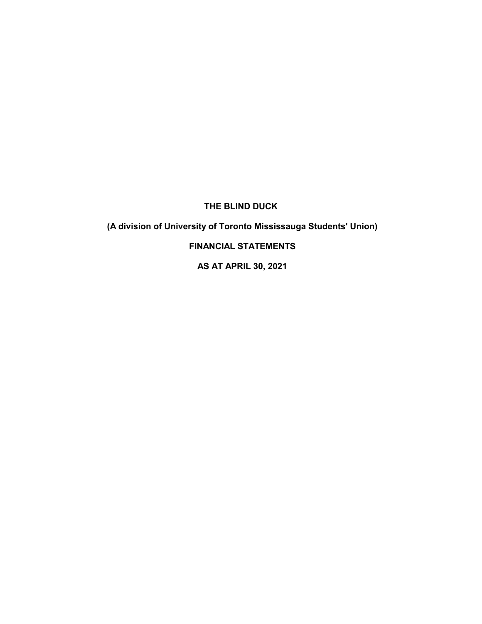## **THE BLIND DUCK**

**(A division of University of Toronto Mississauga Students' Union)**

## **FINANCIAL STATEMENTS**

**AS AT APRIL 30, 2021**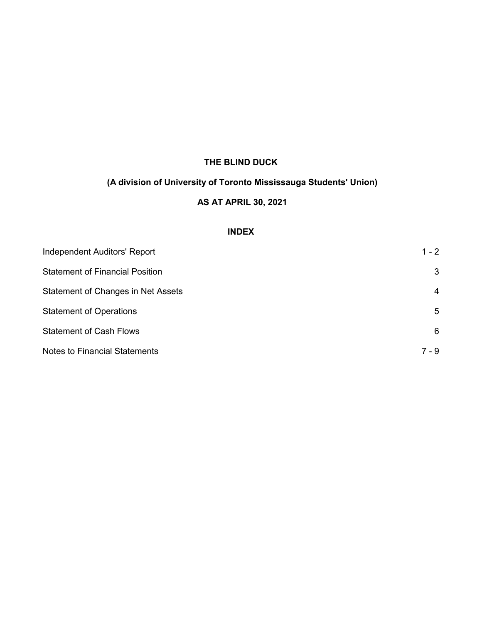## **THE BLIND DUCK**

## **(A division of University of Toronto Mississauga Students' Union)**

## **AS AT APRIL 30, 2021**

### **INDEX**

| <b>Independent Auditors' Report</b>    | $1 - 2$        |
|----------------------------------------|----------------|
| <b>Statement of Financial Position</b> | 3              |
| Statement of Changes in Net Assets     | $\overline{4}$ |
| <b>Statement of Operations</b>         | 5              |
| <b>Statement of Cash Flows</b>         | 6              |
| <b>Notes to Financial Statements</b>   | $7 - 9$        |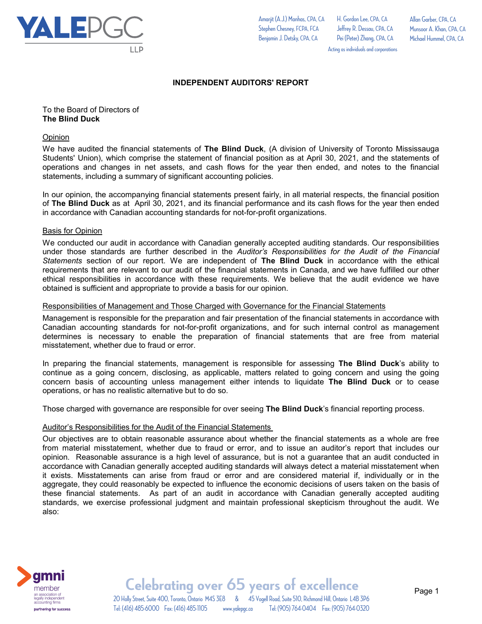

Amarjit (A.J.) Manhas, CPA, CA Stephen Chesney, FCPA, FCA Benjamin J. Detsky, CPA, CA

H. Gordon Lee, CPA, CA Jeffrey R. Dessau, CPA, CA Pei (Peter) Zhang, CPA, CA Acting as individuals and corporations

Allan Garber, CPA, CA Munsoor A. Khan, CPA, CA Michael Hummel, CPA, CA

#### **INDEPENDENT AUDITORS' REPORT**

To the Board of Directors of **The Blind Duck**

#### **Opinion**

We have audited the financial statements of **The Blind Duck**, (A division of University of Toronto Mississauga Students' Union), which comprise the statement of financial position as at April 30, 2021, and the statements of operations and changes in net assets, and cash flows for the year then ended, and notes to the financial statements, including a summary of significant accounting policies.

In our opinion, the accompanying financial statements present fairly, in all material respects, the financial position of **The Blind Duck** as at April 30, 2021, and its financial performance and its cash flows for the year then ended in accordance with Canadian accounting standards for not-for-profit organizations.

#### Basis for Opinion

We conducted our audit in accordance with Canadian generally accepted auditing standards. Our responsibilities under those standards are further described in the *Auditor's Responsibilities for the Audit of the Financial Statements* section of our report. We are independent of **The Blind Duck** in accordance with the ethical requirements that are relevant to our audit of the financial statements in Canada, and we have fulfilled our other ethical responsibilities in accordance with these requirements. We believe that the audit evidence we have obtained is sufficient and appropriate to provide a basis for our opinion.

#### Responsibilities of Management and Those Charged with Governance for the Financial Statements

Management is responsible for the preparation and fair presentation of the financial statements in accordance with Canadian accounting standards for not-for-profit organizations, and for such internal control as management determines is necessary to enable the preparation of financial statements that are free from material misstatement, whether due to fraud or error.

In preparing the financial statements, management is responsible for assessing **The Blind Duck**'s ability to continue as a going concern, disclosing, as applicable, matters related to going concern and using the going concern basis of accounting unless management either intends to liquidate **The Blind Duck** or to cease operations, or has no realistic alternative but to do so.

Those charged with governance are responsible for over seeing **The Blind Duck**'s financial reporting process.

#### Auditor's Responsibilities for the Audit of the Financial Statements

Our objectives are to obtain reasonable assurance about whether the financial statements as a whole are free from material misstatement, whether due to fraud or error, and to issue an auditor's report that includes our opinion. Reasonable assurance is a high level of assurance, but is not a guarantee that an audit conducted in accordance with Canadian generally accepted auditing standards will always detect a material misstatement when it exists. Misstatements can arise from fraud or error and are considered material if, individually or in the aggregate, they could reasonably be expected to influence the economic decisions of users taken on the basis of these financial statements. As part of an audit in accordance with Canadian generally accepted auditing standards, we exercise professional judgment and maintain professional skepticism throughout the audit. We also:



20 Holly Street, Suite 400, Toronto, Ontario M4S 3E8 & 45 Vogell Road, Suite 510, Richmond Hill, Ontario L4B 3P6 **Celebrating over 65 years of excellence** Tel: (416) 485-6000 Fax: (416) 485-1105 www.yalepgc.ca Tel: (905) 764-0404 Fax: (905) 764-0320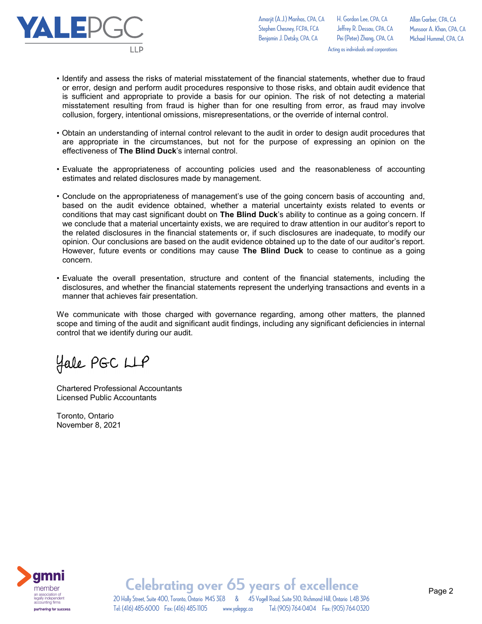

Amarjit (A.J.) Manhas, CPA, CA Stephen Chesney, FCPA, FCA Benjamin J. Detsky, CPA, CA H. Gordon Lee, CPA, CA Jeffrey R. Dessau, CPA, CA Pei (Peter) Zhang, CPA, CA Acting as individuals and corporations Allan Garber, CPA, CA Munsoor A. Khan, CPA, CA Michael Hummel, CPA, CA

- Identify and assess the risks of material misstatement of the financial statements, whether due to fraud or error, design and perform audit procedures responsive to those risks, and obtain audit evidence that is sufficient and appropriate to provide a basis for our opinion. The risk of not detecting a material misstatement resulting from fraud is higher than for one resulting from error, as fraud may involve collusion, forgery, intentional omissions, misrepresentations, or the override of internal control.
- Obtain an understanding of internal control relevant to the audit in order to design audit procedures that are appropriate in the circumstances, but not for the purpose of expressing an opinion on the effectiveness of **The Blind Duck**'s internal control.
- Evaluate the appropriateness of accounting policies used and the reasonableness of accounting estimates and related disclosures made by management.
- Conclude on the appropriateness of management's use of the going concern basis of accounting and, based on the audit evidence obtained, whether a material uncertainty exists related to events or conditions that may cast significant doubt on **The Blind Duck**'s ability to continue as a going concern. If we conclude that a material uncertainty exists, we are required to draw attention in our auditor's report to the related disclosures in the financial statements or, if such disclosures are inadequate, to modify our opinion. Our conclusions are based on the audit evidence obtained up to the date of our auditor's report. However, future events or conditions may cause **The Blind Duck** to cease to continue as a going concern.
- Evaluate the overall presentation, structure and content of the financial statements, including the disclosures, and whether the financial statements represent the underlying transactions and events in a manner that achieves fair presentation.

We communicate with those charged with governance regarding, among other matters, the planned scope and timing of the audit and significant audit findings, including any significant deficiencies in internal control that we identify during our audit.

Hale PGC LLP

Chartered Professional Accountants Licensed Public Accountants

Toronto, Ontario November 8, 2021



20 Holly Street, Suite 400, Toronto, Ontario M4S 3E8 & 45 Vogell Road, Suite 510, Richmond Hill, Ontario L4B 3P6 **Celebrating over 65 years of excellence** Tel: (416) 485-6000 Fax: (416) 485-1105 www.yalepgc.ca Tel: (905) 764-0404 Fax: (905) 764-0320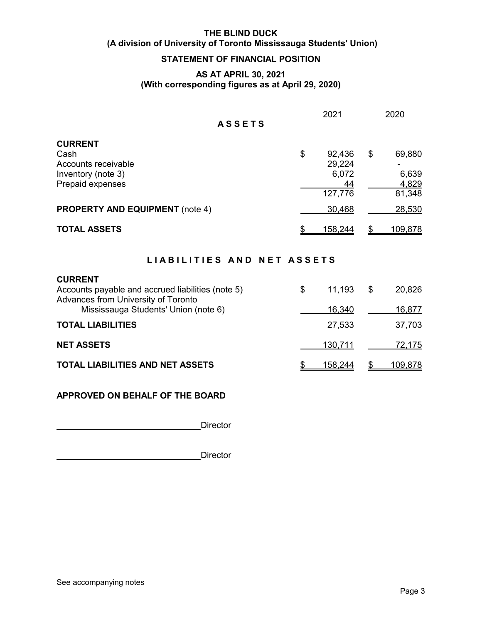### **STATEMENT OF FINANCIAL POSITION**

### **AS AT APRIL 30, 2021 (With corresponding figures as at April 29, 2020)**

|                                                                                                                                                    | 2021                                             | 2020                                     |
|----------------------------------------------------------------------------------------------------------------------------------------------------|--------------------------------------------------|------------------------------------------|
| <b>ASSETS</b>                                                                                                                                      |                                                  |                                          |
| <b>CURRENT</b><br>Cash<br>Accounts receivable<br>Inventory (note 3)<br>Prepaid expenses                                                            | \$<br>92,436<br>29,224<br>6,072<br>44<br>127,776 | \$<br>69,880<br>6,639<br>4,829<br>81,348 |
| <b>PROPERTY AND EQUIPMENT</b> (note 4)                                                                                                             | 30,468                                           | 28,530                                   |
| <b>TOTAL ASSETS</b>                                                                                                                                | <u>158,244</u>                                   | <u> 109,878 </u>                         |
| LIABILITIES AND NET ASSETS                                                                                                                         |                                                  |                                          |
| <b>CURRENT</b><br>Accounts payable and accrued liabilities (note 5)<br>Advances from University of Toronto<br>Mississauga Students' Union (note 6) | \$<br>11,193<br>16,340                           | \$<br>20,826<br>16,877                   |
| <b>TOTAL LIABILITIES</b>                                                                                                                           | 27,533                                           | 37,703                                   |
| <b>NET ASSETS</b>                                                                                                                                  | <u>130,711</u>                                   | 72,175                                   |

| <b>TOTAL LIABILITIES AND NET ASSETS</b> | 158.244 | 109.878 |
|-----------------------------------------|---------|---------|
|                                         |         |         |

**APPROVED ON BEHALF OF THE BOARD**

**Director** 

Director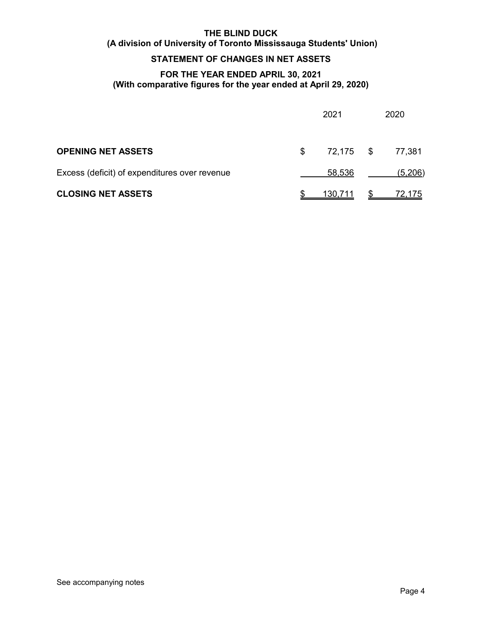## **STATEMENT OF CHANGES IN NET ASSETS**

### **FOR THE YEAR ENDED APRIL 30, 2021 (With comparative figures for the year ended at April 29, 2020)**

|                                               | 2021            |  |               |
|-----------------------------------------------|-----------------|--|---------------|
| <b>OPENING NET ASSETS</b>                     | \$<br>72,175 \$ |  | 77,381        |
| Excess (deficit) of expenditures over revenue | 58,536          |  | (5,206)       |
| <b>CLOSING NET ASSETS</b>                     | <u>130,711</u>  |  | <u>72,175</u> |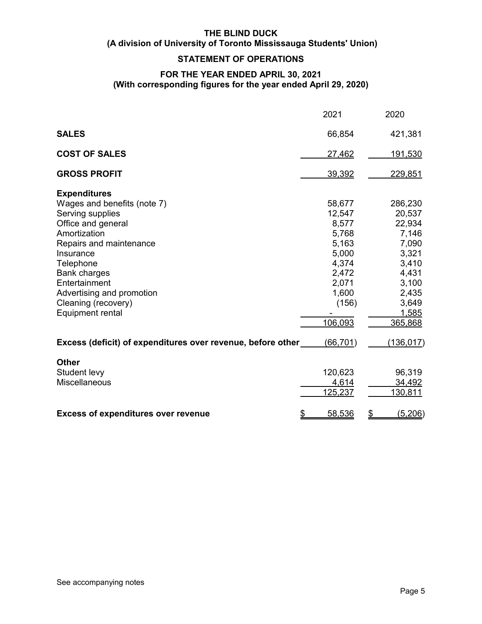## **STATEMENT OF OPERATIONS**

### **FOR THE YEAR ENDED APRIL 30, 2021 (With corresponding figures for the year ended April 29, 2020)**

|                                                                                                                                                                                                                                                               | 2021                                                                                              | 2020                                                                                                |
|---------------------------------------------------------------------------------------------------------------------------------------------------------------------------------------------------------------------------------------------------------------|---------------------------------------------------------------------------------------------------|-----------------------------------------------------------------------------------------------------|
| <b>SALES</b>                                                                                                                                                                                                                                                  | 66,854                                                                                            | 421,381                                                                                             |
| <b>COST OF SALES</b>                                                                                                                                                                                                                                          | 27,462                                                                                            | <u>191,530</u>                                                                                      |
| <b>GROSS PROFIT</b>                                                                                                                                                                                                                                           | 39,392                                                                                            | 229,851                                                                                             |
| <b>Expenditures</b><br>Wages and benefits (note 7)<br>Serving supplies<br>Office and general<br>Amortization<br>Repairs and maintenance<br>Insurance<br>Telephone<br><b>Bank charges</b><br>Entertainment<br>Advertising and promotion<br>Cleaning (recovery) | 58,677<br>12,547<br>8,577<br>5,768<br>5,163<br>5,000<br>4,374<br>2,472<br>2,071<br>1,600<br>(156) | 286,230<br>20,537<br>22,934<br>7,146<br>7,090<br>3,321<br>3,410<br>4,431<br>3,100<br>2,435<br>3,649 |
| Equipment rental                                                                                                                                                                                                                                              | 106,093                                                                                           | <u>1,585</u><br>365,868                                                                             |
| Excess (deficit) of expenditures over revenue, before other                                                                                                                                                                                                   | (66, 701)                                                                                         | <u>(136,017)</u>                                                                                    |
| <b>Other</b><br>Student levy<br><b>Miscellaneous</b>                                                                                                                                                                                                          | 120,623<br>4,614<br>125,237                                                                       | 96,319<br>34,492<br>130,811                                                                         |
| <b>Excess of expenditures over revenue</b>                                                                                                                                                                                                                    | \$<br>58,536                                                                                      | (5,206)<br>\$                                                                                       |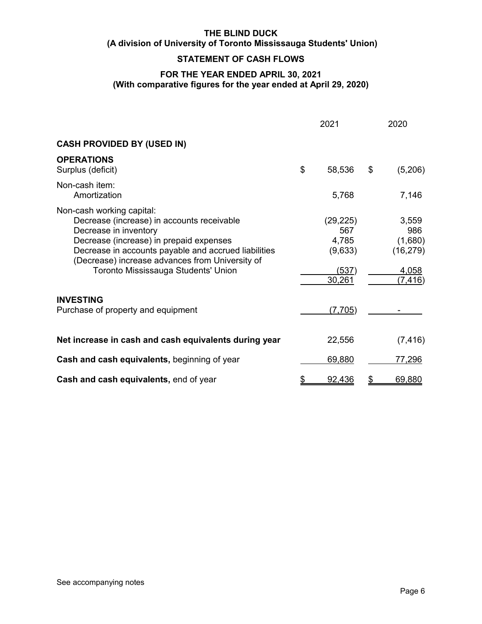### **THE BLIND DUCK**

**(A division of University of Toronto Mississauga Students' Union)**

## **STATEMENT OF CASH FLOWS**

# **FOR THE YEAR ENDED APRIL 30, 2021**

**(With comparative figures for the year ended at April 29, 2020)**

|                                                                                                                                                                                                                                                                                               | 2021                                                    | 2020                                                      |
|-----------------------------------------------------------------------------------------------------------------------------------------------------------------------------------------------------------------------------------------------------------------------------------------------|---------------------------------------------------------|-----------------------------------------------------------|
| <b>CASH PROVIDED BY (USED IN)</b>                                                                                                                                                                                                                                                             |                                                         |                                                           |
| <b>OPERATIONS</b><br>Surplus (deficit)                                                                                                                                                                                                                                                        | \$<br>58,536                                            | \$<br>(5,206)                                             |
| Non-cash item:<br>Amortization                                                                                                                                                                                                                                                                | 5,768                                                   | 7,146                                                     |
| Non-cash working capital:<br>Decrease (increase) in accounts receivable<br>Decrease in inventory<br>Decrease (increase) in prepaid expenses<br>Decrease in accounts payable and accrued liabilities<br>(Decrease) increase advances from University of<br>Toronto Mississauga Students' Union | (29, 225)<br>567<br>4,785<br>(9,633)<br>(537)<br>30,261 | 3,559<br>986<br>(1,680)<br>(16, 279)<br>4,058<br>(7, 416) |
| <b>INVESTING</b><br>Purchase of property and equipment                                                                                                                                                                                                                                        | (7, 705)                                                |                                                           |
| Net increase in cash and cash equivalents during year                                                                                                                                                                                                                                         | 22,556                                                  | (7, 416)                                                  |
| Cash and cash equivalents, beginning of year                                                                                                                                                                                                                                                  | 69,880                                                  | <u>77,296</u>                                             |
| Cash and cash equivalents, end of year                                                                                                                                                                                                                                                        | \$<br>92,436                                            | \$<br>69,880                                              |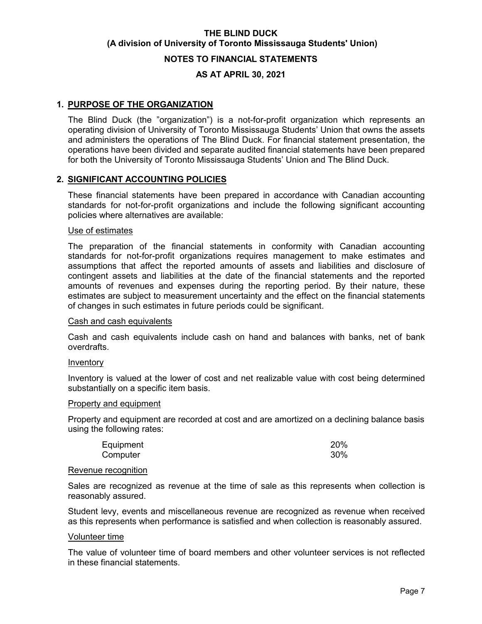### **NOTES TO FINANCIAL STATEMENTS**

### **AS AT APRIL 30, 2021**

### **1. PURPOSE OF THE ORGANIZATION**

The Blind Duck (the "organization") is a not-for-profit organization which represents an operating division of University of Toronto Mississauga Students' Union that owns the assets and administers the operations of The Blind Duck. For financial statement presentation, the operations have been divided and separate audited financial statements have been prepared for both the University of Toronto Mississauga Students' Union and The Blind Duck.

### **2. SIGNIFICANT ACCOUNTING POLICIES**

These financial statements have been prepared in accordance with Canadian accounting standards for not-for-profit organizations and include the following significant accounting policies where alternatives are available:

#### Use of estimates

The preparation of the financial statements in conformity with Canadian accounting standards for not-for-profit organizations requires management to make estimates and assumptions that affect the reported amounts of assets and liabilities and disclosure of contingent assets and liabilities at the date of the financial statements and the reported amounts of revenues and expenses during the reporting period. By their nature, these estimates are subject to measurement uncertainty and the effect on the financial statements of changes in such estimates in future periods could be significant.

#### Cash and cash equivalents

Cash and cash equivalents include cash on hand and balances with banks, net of bank overdrafts.

#### Inventory

Inventory is valued at the lower of cost and net realizable value with cost being determined substantially on a specific item basis.

#### Property and equipment

Property and equipment are recorded at cost and are amortized on a declining balance basis using the following rates:

| Equipment | 20% |
|-----------|-----|
| Computer  | 30% |

#### Revenue recognition

Sales are recognized as revenue at the time of sale as this represents when collection is reasonably assured.

Student levy, events and miscellaneous revenue are recognized as revenue when received as this represents when performance is satisfied and when collection is reasonably assured.

#### Volunteer time

The value of volunteer time of board members and other volunteer services is not reflected in these financial statements.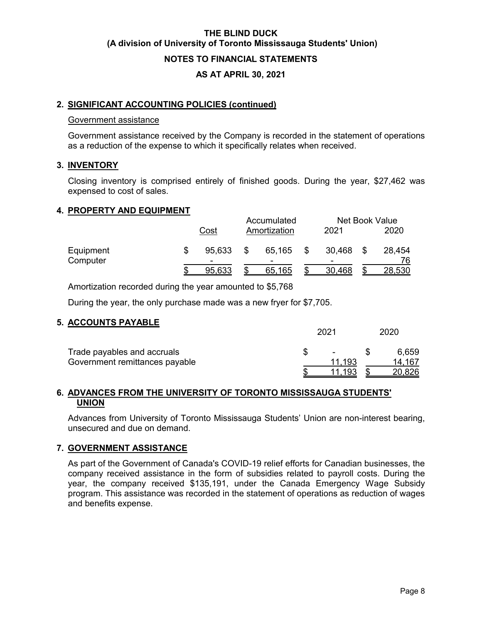# **THE BLIND DUCK (A division of University of Toronto Mississauga Students' Union) NOTES TO FINANCIAL STATEMENTS**

### **AS AT APRIL 30, 2021**

### **2. SIGNIFICANT ACCOUNTING POLICIES (continued)**

#### Government assistance

Government assistance received by the Company is recorded in the statement of operations as a reduction of the expense to which it specifically relates when received.

### **3. INVENTORY**

Closing inventory is comprised entirely of finished goods. During the year, \$27,462 was expensed to cost of sales.

### **4. PROPERTY AND EQUIPMENT**

|           |        |     | Accumulated  |      | Net Book Value |    |        |
|-----------|--------|-----|--------------|------|----------------|----|--------|
|           | Cost   |     | Amortization |      | 2021           |    | 2020   |
| Equipment | 95.633 | \$. | 65,165       | - \$ | 30,468         | \$ | 28,454 |
| Computer  | -      |     | -            |      |                |    | 76     |
|           | 95,633 |     | 65,165       |      | 30,468         |    | 28,530 |

Amortization recorded during the year amounted to \$5,768

During the year, the only purchase made was a new fryer for \$7,705.

### **5. ACCOUNTS PAYABLE**

|                                | 2021                               | 2020             |
|--------------------------------|------------------------------------|------------------|
| Trade payables and accruals    | $\overline{\phantom{a}}$<br>11.193 | 6.659            |
| Government remittances payable | .193                               | 14.167<br>20,826 |
|                                |                                    |                  |

### **6. ADVANCES FROM THE UNIVERSITY OF TORONTO MISSISSAUGA STUDENTS' UNION**

Advances from University of Toronto Mississauga Students' Union are non-interest bearing, unsecured and due on demand.

### **7. GOVERNMENT ASSISTANCE**

As part of the Government of Canada's COVID-19 relief efforts for Canadian businesses, the company received assistance in the form of subsidies related to payroll costs. During the year, the company received \$135,191, under the Canada Emergency Wage Subsidy program. This assistance was recorded in the statement of operations as reduction of wages and benefits expense.